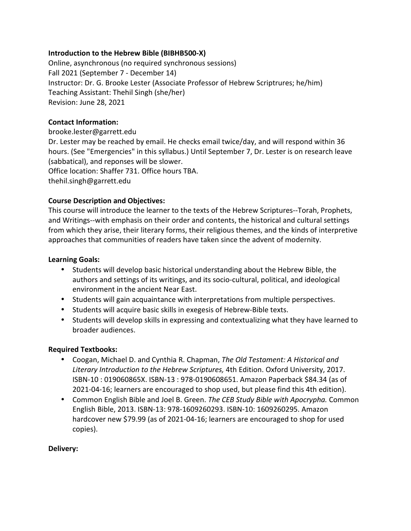## **Introduction to the Hebrew Bible (BIBHB500-X)**

Online, asynchronous (no required synchronous sessions) Fall 2021 (September 7 - December 14) Instructor: Dr. G. Brooke Lester (Associate Professor of Hebrew Scriptrures; he/him) Teaching Assistant: Thehil Singh (she/her) Revision: June 28, 2021

## **Contact Information:**

brooke.lester@garrett.edu Dr. Lester may be reached by email. He checks email twice/day, and will respond within 36 hours. (See "Emergencies" in this syllabus.) Until September 7, Dr. Lester is on research leave (sabbatical), and reponses will be slower. Office location: Shaffer 731. Office hours TBA. thehil.singh@garrett.edu

# **Course Description and Objectives:**

This course will introduce the learner to the texts of the Hebrew Scriptures--Torah, Prophets, and Writings--with emphasis on their order and contents, the historical and cultural settings from which they arise, their literary forms, their religious themes, and the kinds of interpretive approaches that communities of readers have taken since the advent of modernity.

## **Learning Goals:**

- Students will develop basic historical understanding about the Hebrew Bible, the authors and settings of its writings, and its socio-cultural, political, and ideological environment in the ancient Near East.
- Students will gain acquaintance with interpretations from multiple perspectives.
- Students will acquire basic skills in exegesis of Hebrew-Bible texts.
- Students will develop skills in expressing and contextualizing what they have learned to broader audiences.

### **Required Textbooks:**

- Coogan, Michael D. and Cynthia R. Chapman, *The Old Testament: A Historical and Literary Introduction to the Hebrew Scriptures,* 4th Edition. Oxford University, 2017. ISBN-10 : 019060865X. ISBN-13 : 978-0190608651. Amazon Paperback \$84.34 (as of 2021-04-16; learners are encouraged to shop used, but please find this 4th edition).
- Common English Bible and Joel B. Green. *The CEB Study Bible with Apocrypha.* Common English Bible, 2013. ISBN-13: 978-1609260293. ISBN-10: 1609260295. Amazon hardcover new \$79.99 (as of 2021-04-16; learners are encouraged to shop for used copies).

### **Delivery:**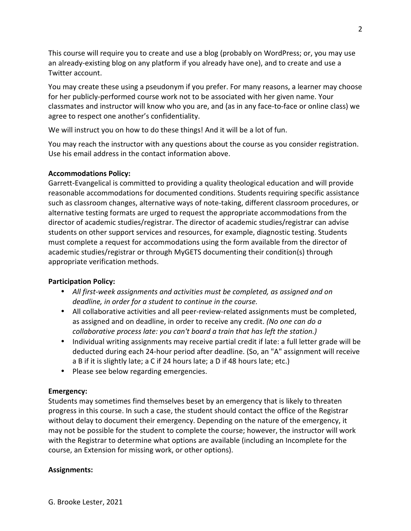This course will require you to create and use a blog (probably on WordPress; or, you may use an already-existing blog on any platform if you already have one), and to create and use a Twitter account.

You may create these using a pseudonym if you prefer. For many reasons, a learner may choose for her publicly-performed course work not to be associated with her given name. Your classmates and instructor will know who you are, and (as in any face-to-face or online class) we agree to respect one another's confidentiality.

We will instruct you on how to do these things! And it will be a lot of fun.

You may reach the instructor with any questions about the course as you consider registration. Use his email address in the contact information above.

# **Accommodations Policy:**

Garrett-Evangelical is committed to providing a quality theological education and will provide reasonable accommodations for documented conditions. Students requiring specific assistance such as classroom changes, alternative ways of note-taking, different classroom procedures, or alternative testing formats are urged to request the appropriate accommodations from the director of academic studies/registrar. The director of academic studies/registrar can advise students on other support services and resources, for example, diagnostic testing. Students must complete a request for accommodations using the form available from the director of academic studies/registrar or through MyGETS documenting their condition(s) through appropriate verification methods.

# **Participation Policy:**

- *All first-week assignments and activities must be completed, as assigned and on deadline, in order for a student to continue in the course.*
- All collaborative activities and all peer-review-related assignments must be completed, as assigned and on deadline, in order to receive any credit. *(No one can do a collaborative process late: you can't board a train that has left the station.)*
- Individual writing assignments may receive partial credit if late: a full letter grade will be deducted during each 24-hour period after deadline. (So, an "A" assignment will receive a B if it is slightly late; a C if 24 hours late; a D if 48 hours late; etc.)
- Please see below regarding emergencies.

# **Emergency:**

Students may sometimes find themselves beset by an emergency that is likely to threaten progress in this course. In such a case, the student should contact the office of the Registrar without delay to document their emergency. Depending on the nature of the emergency, it may not be possible for the student to complete the course; however, the instructor will work with the Registrar to determine what options are available (including an Incomplete for the course, an Extension for missing work, or other options).

# **Assignments:**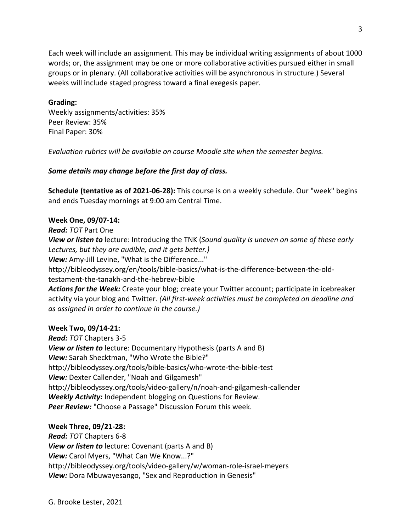Each week will include an assignment. This may be individual writing assignments of about 1000 words; or, the assignment may be one or more collaborative activities pursued either in small groups or in plenary. (All collaborative activities will be asynchronous in structure.) Several weeks will include staged progress toward a final exegesis paper.

#### **Grading:**

Weekly assignments/activities: 35% Peer Review: 35% Final Paper: 30%

*Evaluation rubrics will be available on course Moodle site when the semester begins.* 

### *Some details may change before the first day of class.*

**Schedule (tentative as of 2021-06-28):** This course is on a weekly schedule. Our "week" begins and ends Tuesday mornings at 9:00 am Central Time.

#### **Week One, 09/07-14:**

*Read: TOT* Part One

*View or listen to* lecture: Introducing the TNK (*Sound quality is uneven on some of these early Lectures, but they are audible, and it gets better.)*

*View:* Amy-Jill Levine, "What is the Difference..."

http://bibleodyssey.org/en/tools/bible-basics/what-is-the-difference-between-the-oldtestament-the-tanakh-and-the-hebrew-bible

*Actions for the Week:* Create your blog; create your Twitter account; participate in icebreaker activity via your blog and Twitter. *(All first-week activities must be completed on deadline and as assigned in order to continue in the course.)*

#### **Week Two, 09/14-21:**

*Read: TOT* Chapters 3-5 *View or listen to* lecture: Documentary Hypothesis (parts A and B) *View:* Sarah Shecktman, "Who Wrote the Bible?" http://bibleodyssey.org/tools/bible-basics/who-wrote-the-bible-test *View:* Dexter Callender, "Noah and Gilgamesh" http://bibleodyssey.org/tools/video-gallery/n/noah-and-gilgamesh-callender *Weekly Activity:* Independent blogging on Questions for Review. *Peer Review:* "Choose a Passage" Discussion Forum this week.

### **Week Three, 09/21-28:**

*Read: TOT* Chapters 6-8 *View or listen to* lecture: Covenant (parts A and B) *View:* Carol Myers, "What Can We Know...?" http://bibleodyssey.org/tools/video-gallery/w/woman-role-israel-meyers *View:* Dora Mbuwayesango, "Sex and Reproduction in Genesis"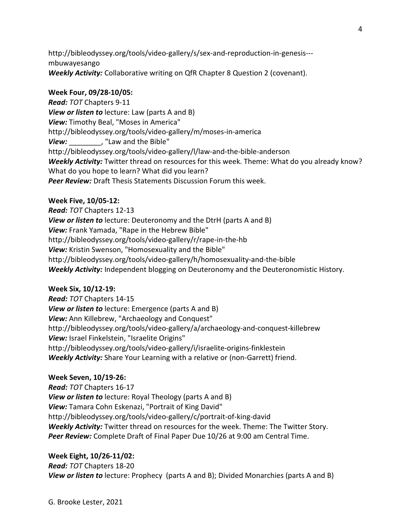http://bibleodyssey.org/tools/video-gallery/s/sex-and-reproduction-in-genesis-- mbuwayesango *Weekly Activity:* Collaborative writing on QfR Chapter 8 Question 2 (covenant).

## **Week Four, 09/28-10/05:**

*Read: TOT* Chapters 9-11 *View or listen to* lecture: Law (parts A and B) *View:* Timothy Beal, "Moses in America" http://bibleodyssey.org/tools/video-gallery/m/moses-in-america *View:* , "Law and the Bible" http://bibleodyssey.org/tools/video-gallery/l/law-and-the-bible-anderson *Weekly Activity:* Twitter thread on resources for this week. Theme: What do you already know? What do you hope to learn? What did you learn? *Peer Review:* Draft Thesis Statements Discussion Forum this week.

## **Week Five, 10/05-12:**

*Read: TOT* Chapters 12-13 *View or listen to* lecture: Deuteronomy and the DtrH (parts A and B) *View:* Frank Yamada, "Rape in the Hebrew Bible" http://bibleodyssey.org/tools/video-gallery/r/rape-in-the-hb *View:* Kristin Swenson, "Homosexuality and the Bible" http://bibleodyssey.org/tools/video-gallery/h/homosexuality-and-the-bible *Weekly Activity:* Independent blogging on Deuteronomy and the Deuteronomistic History.

# **Week Six, 10/12-19:**

*Read: TOT* Chapters 14-15 *View or listen to* lecture: Emergence (parts A and B) *View:* Ann Killebrew, "Archaeology and Conquest" http://bibleodyssey.org/tools/video-gallery/a/archaeology-and-conquest-killebrew *View:* Israel Finkelstein, "Israelite Origins" http://bibleodyssey.org/tools/video-gallery/i/israelite-origins-finklestein *Weekly Activity:* Share Your Learning with a relative or (non-Garrett) friend.

# **Week Seven, 10/19-26:**

*Read: TOT* Chapters 16-17 *View or listen to* lecture: Royal Theology (parts A and B) *View:* Tamara Cohn Eskenazi, "Portrait of King David" http://bibleodyssey.org/tools/video-gallery/c/portrait-of-king-david *Weekly Activity:* Twitter thread on resources for the week. Theme: The Twitter Story. *Peer Review:* Complete Draft of Final Paper Due 10/26 at 9:00 am Central Time.

**Week Eight, 10/26-11/02:**  *Read: TOT* Chapters 18-20 *View or listen to* lecture: Prophecy (parts A and B); Divided Monarchies (parts A and B)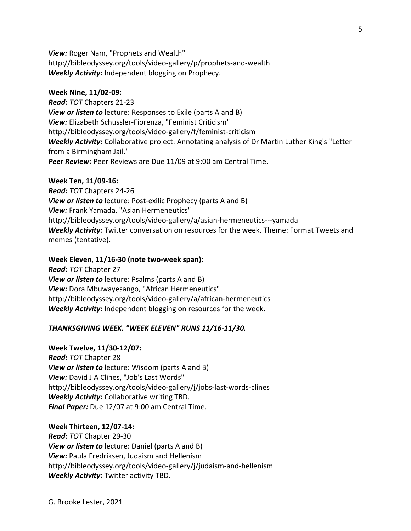*View:* Roger Nam, "Prophets and Wealth" http://bibleodyssey.org/tools/video-gallery/p/prophets-and-wealth *Weekly Activity:* Independent blogging on Prophecy.

#### **Week Nine, 11/02-09:**

*Read: TOT* Chapters 21-23 *View or listen to* lecture: Responses to Exile (parts A and B) *View:* Elizabeth Schussler-Fiorenza, "Feminist Criticism" http://bibleodyssey.org/tools/video-gallery/f/feminist-criticism *Weekly Activity:* Collaborative project: Annotating analysis of Dr Martin Luther King's "Letter from a Birmingham Jail." **Peer Review:** Peer Reviews are Due 11/09 at 9:00 am Central Time.

#### **Week Ten, 11/09-16:**

*Read: TOT* Chapters 24-26 *View or listen to* lecture: Post-exilic Prophecy (parts A and B) *View:* Frank Yamada, "Asian Hermeneutics" http://bibleodyssey.org/tools/video-gallery/a/asian-hermeneutics---yamada *Weekly Activity:* Twitter conversation on resources for the week. Theme: Format Tweets and memes (tentative).

#### **Week Eleven, 11/16-30 (note two-week span):**

*Read: TOT* Chapter 27 *View or listen to* lecture: Psalms (parts A and B) *View:* Dora Mbuwayesango, "African Hermeneutics" http://bibleodyssey.org/tools/video-gallery/a/african-hermeneutics *Weekly Activity:* Independent blogging on resources for the week.

#### *THANKSGIVING WEEK. "WEEK ELEVEN" RUNS 11/16-11/30.*

#### **Week Twelve, 11/30-12/07:**

*Read: TOT* Chapter 28 *View or listen to* lecture: Wisdom (parts A and B) *View:* David J A Clines, "Job's Last Words" http://bibleodyssey.org/tools/video-gallery/j/jobs-last-words-clines *Weekly Activity:* Collaborative writing TBD. *Final Paper:* Due 12/07 at 9:00 am Central Time.

#### **Week Thirteen, 12/07-14:**

*Read: TOT* Chapter 29-30 *View or listen to* lecture: Daniel (parts A and B) *View:* Paula Fredriksen, Judaism and Hellenism http://bibleodyssey.org/tools/video-gallery/j/judaism-and-hellenism *Weekly Activity:* Twitter activity TBD.